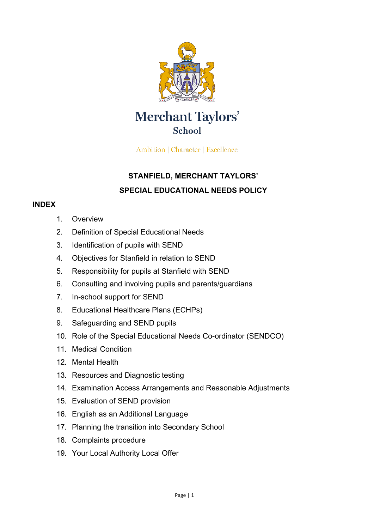

# **Merchant Taylors' School**

Ambition | Character | Excellence

## **STANFIELD, MERCHANT TAYLORS' SPECIAL EDUCATIONAL NEEDS POLICY**

#### **INDEX**

- 1. Overview
- 2. Definition of Special Educational Needs
- 3. Identification of pupils with SEND
- 4. Objectives for Stanfield in relation to SEND
- 5. Responsibility for pupils at Stanfield with SEND
- 6. Consulting and involving pupils and parents/guardians
- 7. In-school support for SEND
- 8. Educational Healthcare Plans (ECHPs)
- 9. Safeguarding and SEND pupils
- 10. Role of the Special Educational Needs Co-ordinator (SENDCO)
- 11. Medical Condition
- 12. Mental Health
- 13. Resources and Diagnostic testing
- 14. Examination Access Arrangements and Reasonable Adjustments
- 15. Evaluation of SEND provision
- 16. English as an Additional Language
- 17. Planning the transition into Secondary School
- 18. Complaints procedure
- 19. Your Local Authority Local Offer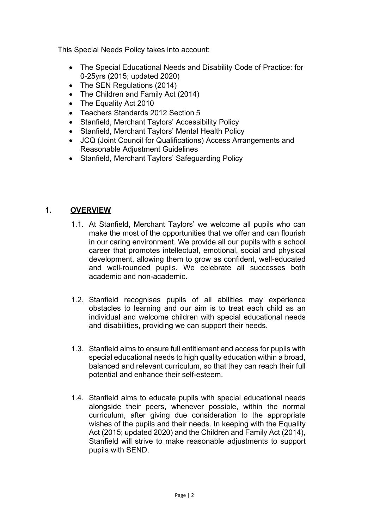This Special Needs Policy takes into account:

- The Special Educational Needs and Disability Code of Practice: for 0-25yrs (2015; updated 2020)
- The SEN Regulations (2014)
- The Children and Family Act (2014)
- The Equality Act 2010
- Teachers Standards 2012 Section 5
- Stanfield, Merchant Taylors' Accessibility Policy
- Stanfield, Merchant Taylors' Mental Health Policy
- JCQ (Joint Council for Qualifications) Access Arrangements and Reasonable Adjustment Guidelines
- Stanfield, Merchant Taylors' Safeguarding Policy

#### **1. OVERVIEW**

- 1.1. At Stanfield, Merchant Taylors' we welcome all pupils who can make the most of the opportunities that we offer and can flourish in our caring environment. We provide all our pupils with a school career that promotes intellectual, emotional, social and physical development, allowing them to grow as confident, well-educated and well-rounded pupils. We celebrate all successes both academic and non-academic.
- 1.2. Stanfield recognises pupils of all abilities may experience obstacles to learning and our aim is to treat each child as an individual and welcome children with special educational needs and disabilities, providing we can support their needs.
- 1.3. Stanfield aims to ensure full entitlement and access for pupils with special educational needs to high quality education within a broad, balanced and relevant curriculum, so that they can reach their full potential and enhance their self-esteem.
- 1.4. Stanfield aims to educate pupils with special educational needs alongside their peers, whenever possible, within the normal curriculum, after giving due consideration to the appropriate wishes of the pupils and their needs. In keeping with the Equality Act (2015; updated 2020) and the Children and Family Act (2014), Stanfield will strive to make reasonable adjustments to support pupils with SEND.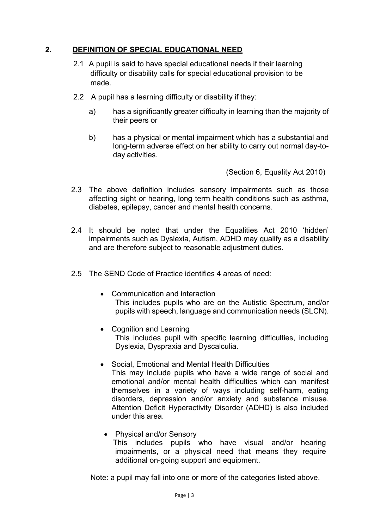#### **2. DEFINITION OF SPECIAL EDUCATIONAL NEED**

- 2.1 A pupil is said to have special educational needs if their learning difficulty or disability calls for special educational provision to be made.
- 2.2 A pupil has a learning difficulty or disability if they:
	- a) has a significantly greater difficulty in learning than the majority of their peers or
	- b) has a physical or mental impairment which has a substantial and long-term adverse effect on her ability to carry out normal day-today activities.

(Section 6, Equality Act 2010)

- 2.3 The above definition includes sensory impairments such as those affecting sight or hearing, long term health conditions such as asthma, diabetes, epilepsy, cancer and mental health concerns.
- 2.4 It should be noted that under the Equalities Act 2010 'hidden' impairments such as Dyslexia, Autism, ADHD may qualify as a disability and are therefore subject to reasonable adjustment duties.
- 2.5 The SEND Code of Practice identifies 4 areas of need:
	- Communication and interaction This includes pupils who are on the Autistic Spectrum, and/or pupils with speech, language and communication needs (SLCN).
	- Cognition and Learning This includes pupil with specific learning difficulties, including Dyslexia, Dyspraxia and Dyscalculia.
	- Social, Emotional and Mental Health Difficulties This may include pupils who have a wide range of social and emotional and/or mental health difficulties which can manifest themselves in a variety of ways including self-harm, eating disorders, depression and/or anxiety and substance misuse. Attention Deficit Hyperactivity Disorder (ADHD) is also included under this area.
		- Physical and/or Sensory This includes pupils who have visual and/or hearing impairments, or a physical need that means they require additional on-going support and equipment.

Note: a pupil may fall into one or more of the categories listed above.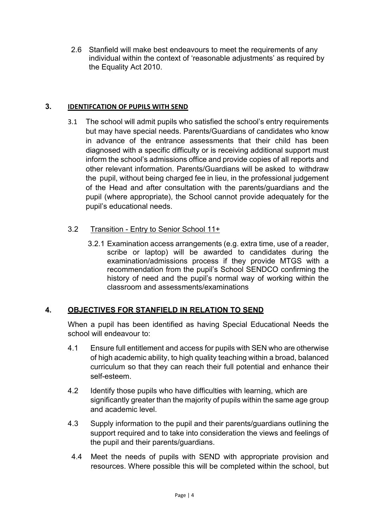2.6 Stanfield will make best endeavours to meet the requirements of any individual within the context of 'reasonable adjustments' as required by the Equality Act 2010.

#### **3. IDENTIFCATION OF PUPILS WITH SEND**

- 3.1 The school will admit pupils who satisfied the school's entry requirements but may have special needs. Parents/Guardians of candidates who know in advance of the entrance assessments that their child has been diagnosed with a specific difficulty or is receiving additional support must inform the school's admissions office and provide copies of all reports and other relevant information. Parents/Guardians will be asked to withdraw the pupil, without being charged fee in lieu, in the professional judgement of the Head and after consultation with the parents/guardians and the pupil (where appropriate), the School cannot provide adequately for the pupil's educational needs.
- 3.2 Transition Entry to Senior School 11+
	- 3.2.1 Examination access arrangements (e.g. extra time, use of a reader, scribe or laptop) will be awarded to candidates during the examination/admissions process if they provide MTGS with a recommendation from the pupil's School SENDCO confirming the history of need and the pupil's normal way of working within the classroom and assessments/examinations

#### **4. OBJECTIVES FOR STANFIELD IN RELATION TO SEND**

When a pupil has been identified as having Special Educational Needs the school will endeavour to:

- 4.1 Ensure full entitlement and access for pupils with SEN who are otherwise of high academic ability, to high quality teaching within a broad, balanced curriculum so that they can reach their full potential and enhance their self-esteem.
- 4.2 Identify those pupils who have difficulties with learning, which are significantly greater than the majority of pupils within the same age group and academic level.
- 4.3 Supply information to the pupil and their parents/guardians outlining the support required and to take into consideration the views and feelings of the pupil and their parents/guardians.
- 4.4 Meet the needs of pupils with SEND with appropriate provision and resources. Where possible this will be completed within the school, but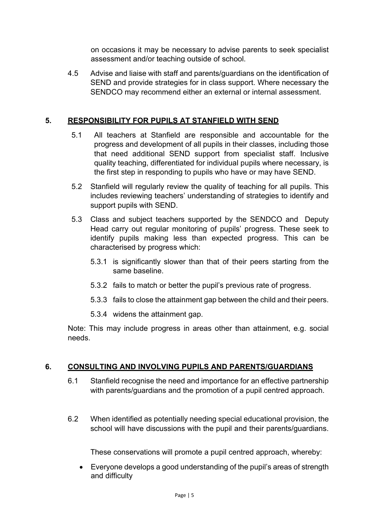on occasions it may be necessary to advise parents to seek specialist assessment and/or teaching outside of school.

4.5 Advise and liaise with staff and parents/guardians on the identification of SEND and provide strategies for in class support. Where necessary the SENDCO may recommend either an external or internal assessment.

#### **5. RESPONSIBILITY FOR PUPILS AT STANFIELD WITH SEND**

- 5.1 All teachers at Stanfield are responsible and accountable for the progress and development of all pupils in their classes, including those that need additional SEND support from specialist staff. Inclusive quality teaching, differentiated for individual pupils where necessary, is the first step in responding to pupils who have or may have SEND.
- 5.2 Stanfield will regularly review the quality of teaching for all pupils. This includes reviewing teachers' understanding of strategies to identify and support pupils with SEND.
- 5.3 Class and subject teachers supported by the SENDCO and Deputy Head carry out regular monitoring of pupils' progress. These seek to identify pupils making less than expected progress. This can be characterised by progress which:
	- 5.3.1 is significantly slower than that of their peers starting from the same baseline.
	- 5.3.2 fails to match or better the pupil's previous rate of progress.
	- 5.3.3 fails to close the attainment gap between the child and their peers.
	- 5.3.4 widens the attainment gap.

Note: This may include progress in areas other than attainment, e.g. social needs.

## **6. CONSULTING AND INVOLVING PUPILS AND PARENTS/GUARDIANS**

- 6.1 Stanfield recognise the need and importance for an effective partnership with parents/guardians and the promotion of a pupil centred approach.
- 6.2 When identified as potentially needing special educational provision, the school will have discussions with the pupil and their parents/guardians.

These conservations will promote a pupil centred approach, whereby:

• Everyone develops a good understanding of the pupil's areas of strength and difficulty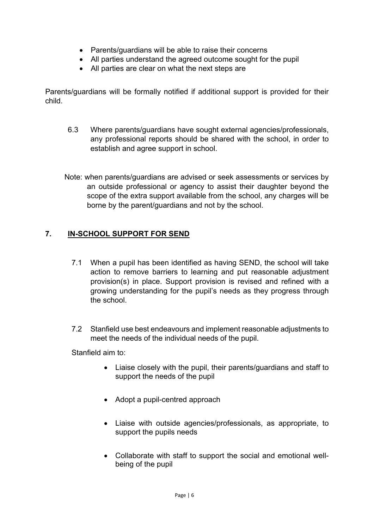- Parents/guardians will be able to raise their concerns
- All parties understand the agreed outcome sought for the pupil
- All parties are clear on what the next steps are

Parents/guardians will be formally notified if additional support is provided for their child.

- 6.3 Where parents/guardians have sought external agencies/professionals, any professional reports should be shared with the school, in order to establish and agree support in school.
- Note: when parents/guardians are advised or seek assessments or services by an outside professional or agency to assist their daughter beyond the scope of the extra support available from the school, any charges will be borne by the parent/guardians and not by the school.

## **7. IN-SCHOOL SUPPORT FOR SEND**

- 7.1 When a pupil has been identified as having SEND, the school will take action to remove barriers to learning and put reasonable adjustment provision(s) in place. Support provision is revised and refined with a growing understanding for the pupil's needs as they progress through the school.
- 7.2 Stanfield use best endeavours and implement reasonable adjustments to meet the needs of the individual needs of the pupil.

Stanfield aim to:

- Liaise closely with the pupil, their parents/guardians and staff to support the needs of the pupil
- Adopt a pupil-centred approach
- Liaise with outside agencies/professionals, as appropriate, to support the pupils needs
- Collaborate with staff to support the social and emotional wellbeing of the pupil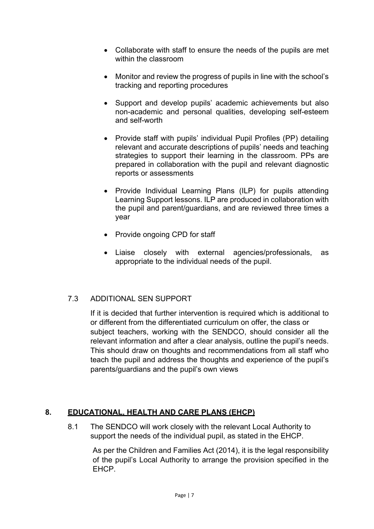- Collaborate with staff to ensure the needs of the pupils are met within the classroom
- Monitor and review the progress of pupils in line with the school's tracking and reporting procedures
- Support and develop pupils' academic achievements but also non-academic and personal qualities, developing self-esteem and self-worth
- Provide staff with pupils' individual Pupil Profiles (PP) detailing relevant and accurate descriptions of pupils' needs and teaching strategies to support their learning in the classroom. PPs are prepared in collaboration with the pupil and relevant diagnostic reports or assessments
- Provide Individual Learning Plans (ILP) for pupils attending Learning Support lessons. ILP are produced in collaboration with the pupil and parent/guardians, and are reviewed three times a year
- Provide ongoing CPD for staff
- Liaise closely with external agencies/professionals, as appropriate to the individual needs of the pupil.

## 7.3 ADDITIONAL SEN SUPPORT

If it is decided that further intervention is required which is additional to or different from the differentiated curriculum on offer, the class or subject teachers, working with the SENDCO, should consider all the relevant information and after a clear analysis, outline the pupil's needs. This should draw on thoughts and recommendations from all staff who teach the pupil and address the thoughts and experience of the pupil's parents/guardians and the pupil's own views

#### **8. EDUCATIONAL, HEALTH AND CARE PLANS (EHCP)**

8.1 The SENDCO will work closely with the relevant Local Authority to support the needs of the individual pupil, as stated in the EHCP.

As per the Children and Families Act (2014), it is the legal responsibility of the pupil's Local Authority to arrange the provision specified in the EHCP.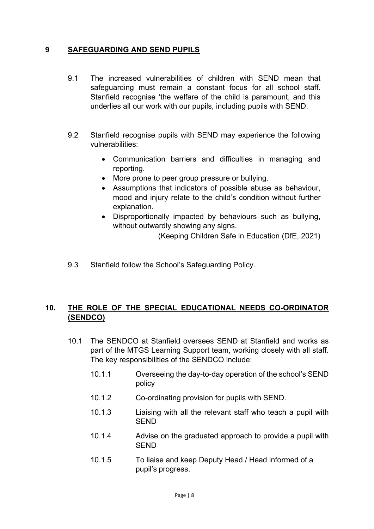#### **9 SAFEGUARDING AND SEND PUPILS**

- 9.1 The increased vulnerabilities of children with SEND mean that safeguarding must remain a constant focus for all school staff. Stanfield recognise 'the welfare of the child is paramount, and this underlies all our work with our pupils, including pupils with SEND.
- 9.2 Stanfield recognise pupils with SEND may experience the following vulnerabilities:
	- Communication barriers and difficulties in managing and reporting.
	- More prone to peer group pressure or bullying.
	- Assumptions that indicators of possible abuse as behaviour, mood and injury relate to the child's condition without further explanation.
	- Disproportionally impacted by behaviours such as bullying, without outwardly showing any signs.

(Keeping Children Safe in Education (DfE, 2021)

9.3 Stanfield follow the School's Safeguarding Policy.

#### **10. THE ROLE OF THE SPECIAL EDUCATIONAL NEEDS CO-ORDINATOR (SENDCO)**

- 10.1 The SENDCO at Stanfield oversees SEND at Stanfield and works as part of the MTGS Learning Support team, working closely with all staff. The key responsibilities of the SENDCO include:
	- 10.1.1 Overseeing the day-to-day operation of the school's SEND policy
	- 10.1.2 Co-ordinating provision for pupils with SEND.
	- 10.1.3 Liaising with all the relevant staff who teach a pupil with SEND
	- 10.1.4 Advise on the graduated approach to provide a pupil with **SFND**
	- 10.1.5 To liaise and keep Deputy Head / Head informed of a pupil's progress.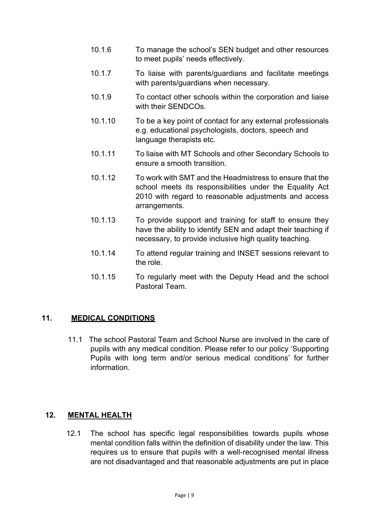- 10.1.6 To manage the school's SEN budget and other resources to meet pupils' needs effectively.
- 10.1.7 To liaise with parents/guardians and facilitate meetings with parents/guardians when necessary.
- 10.1.9 To contact other schools within the corporation and liaise with their SENDCOs.
- 10.1.10 To be a key point of contact for any external professionals e.g. educational psychologists, doctors, speech and language therapists etc.
- 10.1.11 To liaise with MT Schools and other Secondary Schools to ensure a smooth transition.
- 10.1.12 To work with SMT and the Headmistress to ensure that the school meets its responsibilities under the Equality Act 2010 with regard to reasonable adjustments and access arrangements.
- 10.1.13 To provide support and training for staff to ensure they have the ability to identify SEN and adapt their teaching if necessary, to provide inclusive high quality teaching.
- 10.1.14 To attend regular training and INSET sessions relevant to the role.
- 10.1.15 To regularly meet with the Deputy Head and the school Pastoral Team.

#### **11. MEDICAL CONDITIONS**

11.1 The school Pastoral Team and School Nurse are involved in the care of pupils with any medical condition. Please refer to our policy 'Supporting Pupils with long term and/or serious medical conditions' for further information.

#### **12. MENTAL HEALTH**

12.1 The school has specific legal responsibilities towards pupils whose mental condition falls within the definition of disability under the law. This requires us to ensure that pupils with a well-recognised mental illness are not disadvantaged and that reasonable adjustments are put in place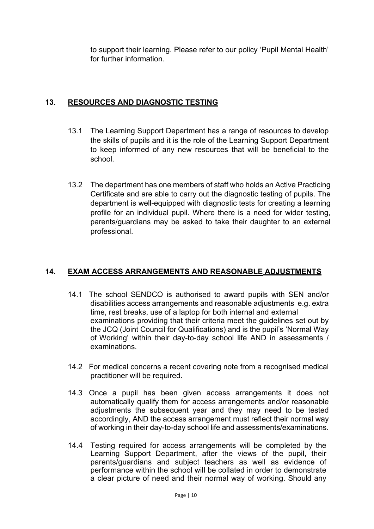to support their learning. Please refer to our policy 'Pupil Mental Health' for further information.

## **13. RESOURCES AND DIAGNOSTIC TESTING**

- 13.1 The Learning Support Department has a range of resources to develop the skills of pupils and it is the role of the Learning Support Department to keep informed of any new resources that will be beneficial to the school.
- 13.2 The department has one members of staff who holds an Active Practicing Certificate and are able to carry out the diagnostic testing of pupils. The department is well-equipped with diagnostic tests for creating a learning profile for an individual pupil. Where there is a need for wider testing, parents/guardians may be asked to take their daughter to an external professional.

## **14. EXAM ACCESS ARRANGEMENTS AND REASONABLE ADJUSTMENTS**

- 14.1 The school SENDCO is authorised to award pupils with SEN and/or disabilities access arrangements and reasonable adjustments e.g. extra time, rest breaks, use of a laptop for both internal and external examinations providing that their criteria meet the guidelines set out by the JCQ (Joint Council for Qualifications) and is the pupil's 'Normal Way of Working' within their day-to-day school life AND in assessments / examinations.
- 14.2 For medical concerns a recent covering note from a recognised medical practitioner will be required.
- 14.3 Once a pupil has been given access arrangements it does not automatically qualify them for access arrangements and/or reasonable adjustments the subsequent year and they may need to be tested accordingly, AND the access arrangement must reflect their normal way of working in their day-to-day school life and assessments/examinations.
- 14.4 Testing required for access arrangements will be completed by the Learning Support Department, after the views of the pupil, their parents/guardians and subject teachers as well as evidence of performance within the school will be collated in order to demonstrate a clear picture of need and their normal way of working. Should any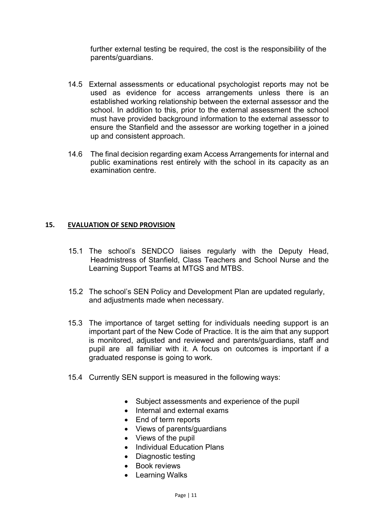further external testing be required, the cost is the responsibility of the parents/guardians.

- 14.5 External assessments or educational psychologist reports may not be used as evidence for access arrangements unless there is an established working relationship between the external assessor and the school. In addition to this, prior to the external assessment the school must have provided background information to the external assessor to ensure the Stanfield and the assessor are working together in a joined up and consistent approach.
- 14.6 The final decision regarding exam Access Arrangements for internal and public examinations rest entirely with the school in its capacity as an examination centre.

#### **15. EVALUATION OF SEND PROVISION**

- 15.1 The school's SENDCO liaises regularly with the Deputy Head, Headmistress of Stanfield, Class Teachers and School Nurse and the Learning Support Teams at MTGS and MTBS.
- 15.2 The school's SEN Policy and Development Plan are updated regularly, and adjustments made when necessary.
- 15.3 The importance of target setting for individuals needing support is an important part of the New Code of Practice. It is the aim that any support is monitored, adjusted and reviewed and parents/guardians, staff and pupil are all familiar with it. A focus on outcomes is important if a graduated response is going to work.
- 15.4 Currently SEN support is measured in the following ways:
	- Subject assessments and experience of the pupil
	- Internal and external exams
	- End of term reports
	- Views of parents/guardians
	- Views of the pupil
	- Individual Education Plans
	- Diagnostic testing
	- Book reviews
	- Learning Walks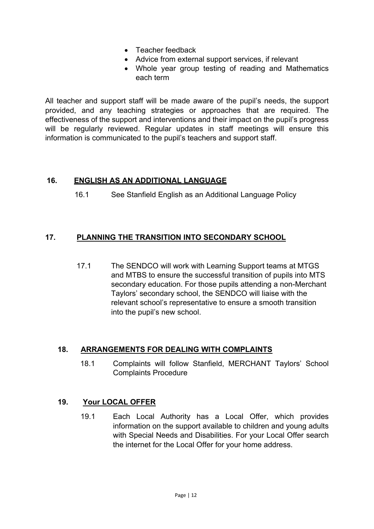- Teacher feedback
- Advice from external support services, if relevant
- Whole year group testing of reading and Mathematics each term

All teacher and support staff will be made aware of the pupil's needs, the support provided, and any teaching strategies or approaches that are required. The effectiveness of the support and interventions and their impact on the pupil's progress will be regularly reviewed. Regular updates in staff meetings will ensure this information is communicated to the pupil's teachers and support staff.

#### **16. ENGLISH AS AN ADDITIONAL LANGUAGE**

16.1 See Stanfield English as an Additional Language Policy

#### **17. PLANNING THE TRANSITION INTO SECONDARY SCHOOL**

 17.1 The SENDCO will work with Learning Support teams at MTGS and MTBS to ensure the successful transition of pupils into MTS secondary education. For those pupils attending a non-Merchant Taylors' secondary school, the SENDCO will liaise with the relevant school's representative to ensure a smooth transition into the pupil's new school.

#### **18. ARRANGEMENTS FOR DEALING WITH COMPLAINTS**

18.1 Complaints will follow Stanfield, MERCHANT Taylors' School Complaints Procedure

#### **19. Your LOCAL OFFER**

19.1 Each Local Authority has a Local Offer, which provides information on the support available to children and young adults with Special Needs and Disabilities. For your Local Offer search the internet for the Local Offer for your home address.